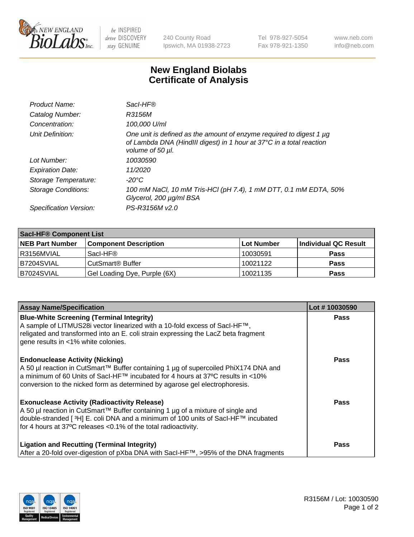

 $be$  INSPIRED drive DISCOVERY stay GENUINE

240 County Road Ipswich, MA 01938-2723 Tel 978-927-5054 Fax 978-921-1350 www.neb.com info@neb.com

## **New England Biolabs Certificate of Analysis**

| Product Name:              | Sacl-HF®                                                                                                                                                        |
|----------------------------|-----------------------------------------------------------------------------------------------------------------------------------------------------------------|
| Catalog Number:            | R3156M                                                                                                                                                          |
| Concentration:             | 100,000 U/ml                                                                                                                                                    |
| Unit Definition:           | One unit is defined as the amount of enzyme required to digest 1 µg<br>of Lambda DNA (HindIII digest) in 1 hour at 37°C in a total reaction<br>volume of 50 µl. |
| Lot Number:                | 10030590                                                                                                                                                        |
| <b>Expiration Date:</b>    | 11/2020                                                                                                                                                         |
| Storage Temperature:       | $-20^{\circ}$ C                                                                                                                                                 |
| <b>Storage Conditions:</b> | 100 mM NaCl, 10 mM Tris-HCl (pH 7.4), 1 mM DTT, 0.1 mM EDTA, 50%<br>Glycerol, 200 µg/ml BSA                                                                     |
| Specification Version:     | PS-R3156M v2.0                                                                                                                                                  |

| <b>Saci-HF® Component List</b> |                                    |                   |                      |  |  |
|--------------------------------|------------------------------------|-------------------|----------------------|--|--|
| <b>NEB Part Number</b>         | <b>Component Description</b>       | <b>Lot Number</b> | Individual QC Result |  |  |
| I R3156MVIAL                   | Sacl-HF®                           | 10030591          | <b>Pass</b>          |  |  |
| B7204SVIAL                     | <b>CutSmart<sup>®</sup> Buffer</b> | 10021122          | <b>Pass</b>          |  |  |
| B7024SVIAL                     | Gel Loading Dye, Purple (6X)       | 10021135          | <b>Pass</b>          |  |  |

| <b>Assay Name/Specification</b>                                                                                                                                                                                                                                                                            | Lot #10030590 |
|------------------------------------------------------------------------------------------------------------------------------------------------------------------------------------------------------------------------------------------------------------------------------------------------------------|---------------|
| <b>Blue-White Screening (Terminal Integrity)</b><br>A sample of LITMUS28i vector linearized with a 10-fold excess of SacI-HF™,<br>religated and transformed into an E. coli strain expressing the LacZ beta fragment<br>gene results in <1% white colonies.                                                | <b>Pass</b>   |
| <b>Endonuclease Activity (Nicking)</b><br>A 50 µl reaction in CutSmart™ Buffer containing 1 µg of supercoiled PhiX174 DNA and<br>a minimum of 60 Units of Sacl-HF™ incubated for 4 hours at 37°C results in <10%<br>conversion to the nicked form as determined by agarose gel electrophoresis.            | Pass          |
| <b>Exonuclease Activity (Radioactivity Release)</b><br>A 50 µl reaction in CutSmart™ Buffer containing 1 µg of a mixture of single and<br>double-stranded [ <sup>3</sup> H] E. coli DNA and a minimum of 100 units of Sacl-HF™ incubated<br>for 4 hours at 37°C releases <0.1% of the total radioactivity. | <b>Pass</b>   |
| <b>Ligation and Recutting (Terminal Integrity)</b><br>After a 20-fold over-digestion of pXba DNA with Sacl-HF™, >95% of the DNA fragments                                                                                                                                                                  | Pass          |